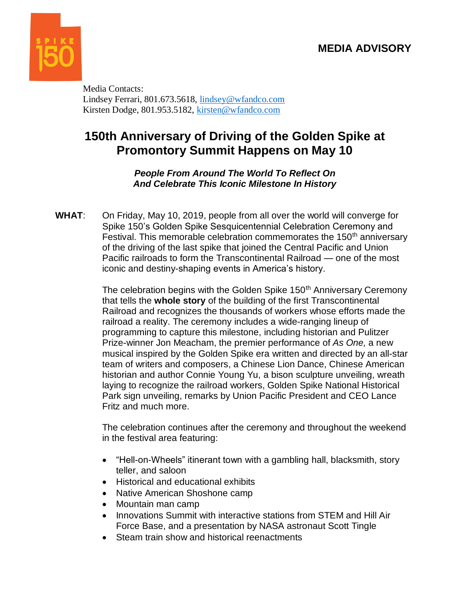

Media Contacts: Lindsey Ferrari, 801.673.5618, [lindsey@wfandco.com](mailto:lindsey@wfandco.com) Kirsten Dodge, 801.953.5182, [kirsten@wfandco.com](mailto:kirsten@wfandco.com)

## **150th Anniversary of Driving of the Golden Spike at Promontory Summit Happens on May 10**

*People From Around The World To Reflect On And Celebrate This Iconic Milestone In History* 

**WHAT**: On Friday, May 10, 2019, people from all over the world will converge for Spike 150's Golden Spike Sesquicentennial Celebration Ceremony and Festival. This memorable celebration commemorates the  $150<sup>th</sup>$  anniversary of the driving of the last spike that joined the Central Pacific and Union Pacific railroads to form the Transcontinental Railroad — one of the most iconic and destiny-shaping events in America's history.

> The celebration begins with the Golden Spike 150<sup>th</sup> Anniversary Ceremony that tells the **whole story** of the building of the first Transcontinental Railroad and recognizes the thousands of workers whose efforts made the railroad a reality. The ceremony includes a wide-ranging lineup of programming to capture this milestone, including historian and Pulitzer Prize-winner Jon Meacham, the premier performance of *As One,* a new musical inspired by the Golden Spike era written and directed by an all-star team of writers and composers, a Chinese Lion Dance, Chinese American historian and author Connie Young Yu, a bison sculpture unveiling, wreath laying to recognize the railroad workers, Golden Spike National Historical Park sign unveiling, remarks by Union Pacific President and CEO Lance Fritz and much more.

> The celebration continues after the ceremony and throughout the weekend in the festival area featuring:

- "Hell-on-Wheels" itinerant town with a gambling hall, blacksmith, story teller, and saloon
- Historical and educational exhibits
- Native American Shoshone camp
- Mountain man camp
- Innovations Summit with interactive stations from STEM and Hill Air Force Base, and a presentation by NASA astronaut Scott Tingle
- Steam train show and historical reenactments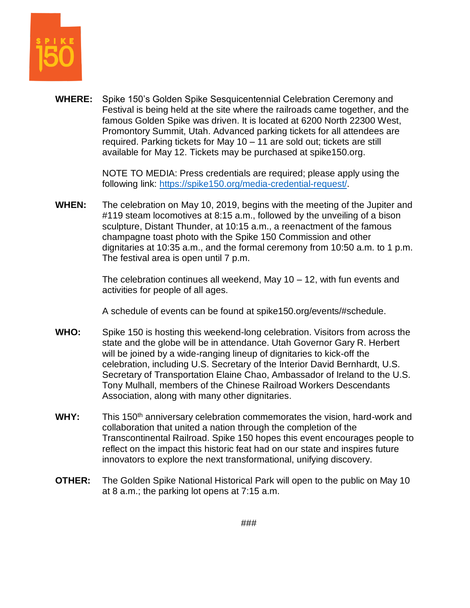

**WHERE:** Spike 150's Golden Spike Sesquicentennial Celebration Ceremony and Festival is being held at the site where the railroads came together, and the famous Golden Spike was driven. It is located at 6200 North 22300 West, Promontory Summit, Utah. Advanced parking tickets for all attendees are required. Parking tickets for May 10 – 11 are sold out; tickets are still available for May 12. Tickets may be purchased at [spike150.org.](http://www.spike150.org/)

> NOTE TO MEDIA: Press credentials are required; please apply using the following link: [https://spike150.org/media-credential-request/.](https://spike150.org/media-credential-request/)

**WHEN:** The celebration on May 10, 2019, begins with the meeting of the Jupiter and #119 steam locomotives at 8:15 a.m., followed by the unveiling of a bison sculpture, Distant Thunder, at 10:15 a.m., a reenactment of the famous champagne toast photo with the Spike 150 Commission and other dignitaries at 10:35 a.m., and the formal ceremony from 10:50 a.m. to 1 p.m. The festival area is open until 7 p.m.

> The celebration continues all weekend, May 10 – 12, with fun events and activities for people of all ages.

A schedule of events can be found at [spike150.org/events/#schedule.](http://www.spike150.org/events/#schedule)

- **WHO:** Spike 150 is hosting this weekend-long celebration. Visitors from across the state and the globe will be in attendance. Utah Governor Gary R. Herbert will be joined by a wide-ranging lineup of dignitaries to kick-off the celebration, including U.S. Secretary of the Interior David Bernhardt, U.S. Secretary of Transportation Elaine Chao, Ambassador of Ireland to the U.S. Tony Mulhall, members of the Chinese Railroad Workers Descendants Association, along with many other dignitaries.
- WHY: This 150<sup>th</sup> anniversary celebration commemorates the vision, hard-work and collaboration that united a nation through the completion of the Transcontinental Railroad. Spike 150 hopes this event encourages people to reflect on the impact this historic feat had on our state and inspires future innovators to explore the next transformational, unifying discovery.
- **OTHER:** The Golden Spike National Historical Park will open to the public on May 10 at 8 a.m.; the parking lot opens at 7:15 a.m.